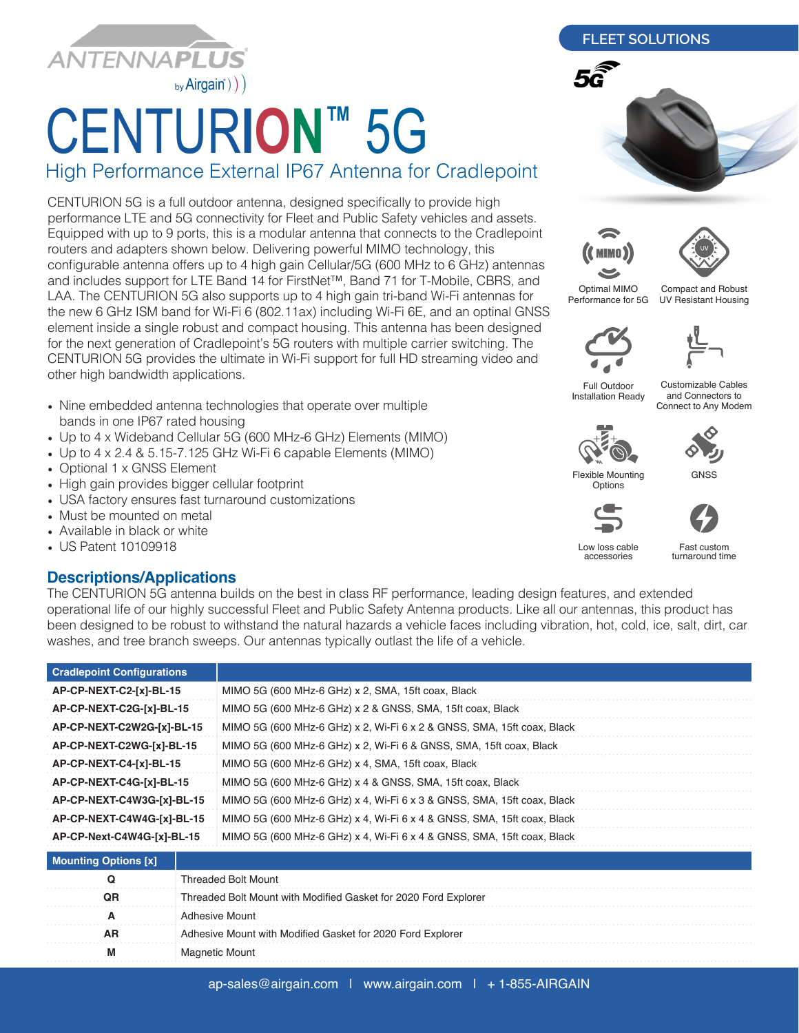

## CENTUR**ION™** 5G

High Performance External IP67 Antenna for Cradlepoint

CENTURION 5G is a full outdoor antenna, designed specifically to provide high performance LTE and 5G connectivity for Fleet and Public Safety vehicles and assets. Equipped with up to 9 ports, this is a modular antenna that connects to the Cradlepoint routers and adapters shown below. Delivering powerful MIMO technology, this configurable antenna offers up to 4 high gain Cellular/5G (600 MHz to 6 GHz) antennas and includes support for LTE Band 14 for FirstNet™, Band 71 for T-Mobile, CBRS, and LAA. The CENTURION 5G also supports up to 4 high gain tri-band Wi-Fi antennas for the new 6 GHz ISM band for Wi-Fi 6 (802.11ax) including Wi-Fi 6E, and an optinal GNSS element inside a single robust and compact housing. This antenna has been designed for the next generation of Cradlepoint's 5G routers with multiple carrier switching. The CENTURION 5G provides the ultimate in Wi-Fi support for full HD streaming video and other high bandwidth applications.

- Nine embedded antenna technologies that operate over multiple bands in one IP67 rated housing
- Up to 4 x Wideband Cellular 5G (600 MHz-6 GHz) Elements (MIMO)
- Up to 4 x 2.4 & 5.15-7.125 GHz Wi-Fi 6 capable Elements (MIMO)
- Optional 1 x GNSS Element
- High gain provides bigger cellular footprint
- USA factory ensures fast turnaround customizations
- Must be mounted on metal
- Available in black or white
- US Patent 10109918

## **Descriptions/Applications**

The CENTURION 5G antenna builds on the best in class RF performance, leading design features, and extended operational life of our highly successful Fleet and Public Safety Antenna products. Like all our antennas, this product has been designed to be robust to withstand the natural hazards a vehicle faces including vibration, hot, cold, ice, salt, dirt, car washes, and tree branch sweeps. Our antennas typically outlast the life of a vehicle.

| <b>Cradlepoint Configurations</b> |                                                                        |  |  |  |  |
|-----------------------------------|------------------------------------------------------------------------|--|--|--|--|
| AP-CP-NEXT-C2-[x]-BL-15           | MIMO 5G (600 MHz-6 GHz) x 2, SMA, 15ft coax, Black                     |  |  |  |  |
| AP-CP-NEXT-C2G-[x]-BL-15          | MIMO 5G (600 MHz-6 GHz) x 2 & GNSS, SMA, 15ft coax, Black              |  |  |  |  |
| AP-CP-NEXT-C2W2G-[x]-BL-15        | MIMO 5G (600 MHz-6 GHz) x 2, Wi-Fi 6 x 2 & GNSS, SMA, 15ft coax, Black |  |  |  |  |
| AP-CP-NEXT-C2WG-[x]-BL-15         | MIMO 5G (600 MHz-6 GHz) x 2, Wi-Fi 6 & GNSS, SMA, 15ft coax, Black     |  |  |  |  |
| AP-CP-NEXT-C4-[x]-BL-15           | MIMO 5G (600 MHz-6 GHz) x 4, SMA, 15ft coax, Black                     |  |  |  |  |
| AP-CP-NEXT-C4G-[x]-BL-15          | MIMO 5G (600 MHz-6 GHz) x 4 & GNSS, SMA, 15ft coax, Black              |  |  |  |  |
| AP-CP-NEXT-C4W3G-[x]-BL-15        | MIMO 5G (600 MHz-6 GHz) x 4, Wi-Fi 6 x 3 & GNSS, SMA, 15ft coax, Black |  |  |  |  |
| AP-CP-NEXT-C4W4G-[x]-BL-15        | MIMO 5G (600 MHz-6 GHz) x 4, Wi-Fi 6 x 4 & GNSS, SMA, 15ft coax, Black |  |  |  |  |
| AP-CP-Next-C4W4G-[x]-BL-15        | MIMO 5G (600 MHz-6 GHz) x 4, Wi-Fi 6 x 4 & GNSS, SMA, 15ft coax, Black |  |  |  |  |
| <b>Mounting Options [x]</b>       |                                                                        |  |  |  |  |

| <b>Mounting Options [x]</b> |                                                                 |
|-----------------------------|-----------------------------------------------------------------|
|                             | <b>Threaded Bolt Mount</b>                                      |
|                             | Threaded Bolt Mount with Modified Gasket for 2020 Ford Explorer |
|                             | <b>Adhesive Mount</b>                                           |
| ΑR                          | Adhesive Mount with Modified Gasket for 2020 Ford Explorer      |
|                             | Magnetic Mount                                                  |
|                             |                                                                 |

## **FLEET SOLUTIONS**







Optimal MIMO Performance for 5G

Compact and Robust UV Resistant Housing



Installation Ready

Customizable Cables and Connectors to

Connect to Any Modem

**GNSS** 





Flexible Mounting **Options** 



Low loss cable accessories

Fast custom turnaround time